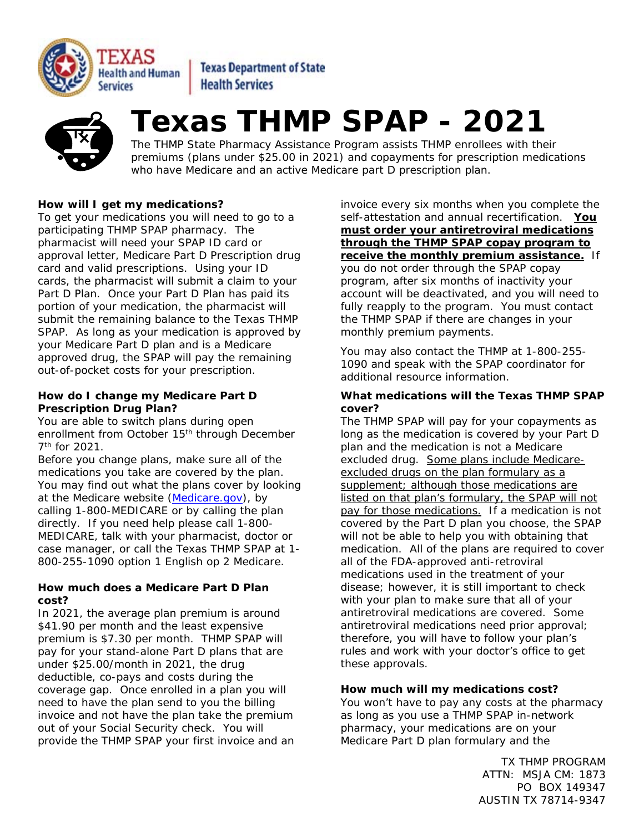

**Texas Department of State Health Services** 



# **Texas THMP SPAP - 2021**

The THMP State Pharmacy Assistance Program assists THMP enrollees with their premiums (plans under \$25.00 in 2021) and copayments for prescription medications who have Medicare and an active Medicare part D prescription plan.

## **How will I get my medications?**

To get your medications you will need to go to a participating THMP SPAP pharmacy. The pharmacist will need your SPAP ID card or approval letter, Medicare Part D Prescription drug card and valid prescriptions. Using your ID cards, the pharmacist will submit a claim to your Part D Plan. Once your Part D Plan has paid its portion of your medication, the pharmacist will submit the remaining balance to the Texas THMP SPAP. As long as your medication is approved by your Medicare Part D plan and is a Medicare approved drug, the SPAP will pay the remaining out-of-pocket costs for your prescription.

## **How do I change my Medicare Part D Prescription Drug Plan?**

You are able to switch plans during open enrollment from October 15<sup>th</sup> through December 7 th for 2021.

Before you change plans, make sure all of the medications you take are covered by the plan. You may find out what the plans cover by looking at the Medicare website (Medicare.gov), by calling 1-800-MEDICARE or by calling the plan directly. If you need help please call 1-800- MEDICARE, talk with your pharmacist, doctor or case manager, or call the Texas THMP SPAP at 1- 800-255-1090 option 1 English op 2 Medicare.

## **How much does a Medicare Part D Plan cost?**

In 2021, the average plan premium is around \$41.90 per month and the least expensive premium is \$7.30 per month. THMP SPAP will pay for your stand-alone Part D plans that are under \$25.00/month in 2021, the drug deductible, co-pays and costs during the coverage gap. Once enrolled in a plan you will need to have the plan send to you the billing invoice and not have the plan take the premium out of your Social Security check. You will provide the THMP SPAP your first invoice and an invoice every six months when you complete the self-attestation and annual recertification. **You must order your antiretroviral medications through the THMP SPAP copay program to receive the monthly premium assistance.** If you do not order through the SPAP copay program, after six months of inactivity your account will be deactivated, and you will need to fully reapply to the program. You must contact the THMP SPAP if there are changes in your monthly premium payments.

You may also contact the THMP at 1-800-255- 1090 and speak with the SPAP coordinator for additional resource information.

## **What medications will the Texas THMP SPAP cover?**

 plan and the medication is not a Medicare The THMP SPAP will pay for your copayments as long as the medication is covered by your Part D excluded drug. Some plans include Medicareexcluded drugs on the plan formulary as a supplement; although those medications are listed on that plan's formulary, the SPAP will not pay for those medications. If a medication is not covered by the Part D plan you choose, the SPAP will not be able to help you with obtaining that medication. All of the plans are required to cover all of the FDA-approved anti-retroviral medications used in the treatment of your disease; however, it is still important to check with your plan to make sure that all of your antiretroviral medications are covered. Some antiretroviral medications need prior approval; therefore, you will have to follow your plan's rules and work with your doctor's office to get these approvals.

## **How much will my medications cost?**

You won't have to pay any costs at the pharmacy as long as you use a THMP SPAP in-network pharmacy, your medications are on your Medicare Part D plan formulary and the

> TX THMP PROGRAM ATTN: MSJA CM: 1873 PO BOX 149347 AUSTIN TX 78714-9347